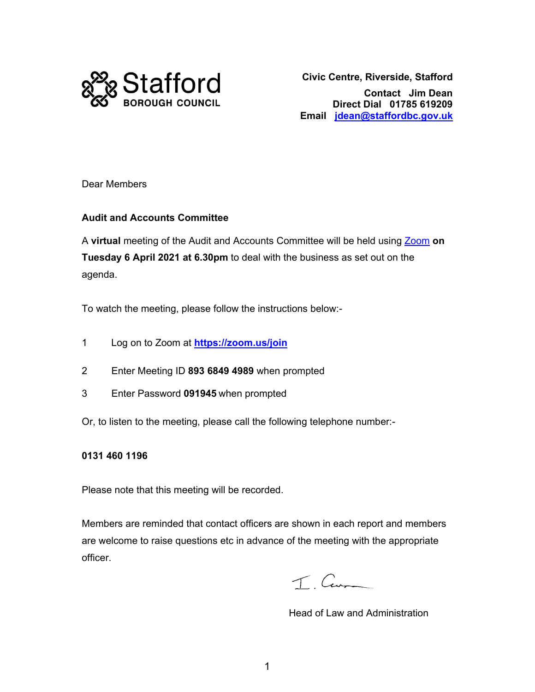

 **Direct Dial 01785 619209 Email jdean@staffordbc.gov.uk Civic Centre, Riverside, Stafford Contact Jim Dean** 

Dear Members

#### **Audit and Accounts Committee**

 A **virtual** meeting of the Audit and Accounts Committee will be held using Zoom **on Tuesday 6 April 2021 at 6.30pm** to deal with the business as set out on the agenda.

To watch the meeting, please follow the instructions below:-

- 1 Log on to Zoom at **https://zoom.us/join**
- 2 Enter Meeting ID **893 6849 4989** when prompted
- 3 Enter Password **091945** when prompted
- Or, to listen to the meeting, please call the following telephone number:-

#### **0131 460 1196**

Please note that this meeting will be recorded.

Please note that this meeting will be recorded.<br>Members are reminded that contact officers are shown in each report and members are welcome to raise questions etc in advance of the meeting with the appropriate officer.

T Cum

Head of Law and Administration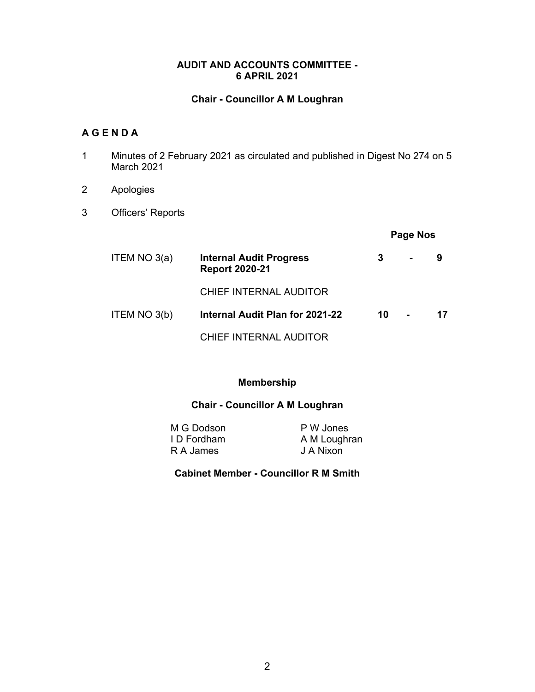#### **AUDIT AND ACCOUNTS COMMITTEE - 6 APRIL 2021**

#### **Chair - Councillor A M Loughran**

#### **A G E N D A**

- 1 Minutes of 2 February 2021 as circulated and published in Digest No 274 on 5 March 2021
- 2 Apologies
- 3 Officers' Reports

#### **Page Nos**

| ITEM NO $3(a)$ | <b>Internal Audit Progress</b><br><b>Report 2020-21</b> | 3  | $\blacksquare$ | 9  |
|----------------|---------------------------------------------------------|----|----------------|----|
|                | <b>CHIEF INTERNAL AUDITOR</b>                           |    |                |    |
| ITEM NO 3(b)   | Internal Audit Plan for 2021-22                         | 10 |                | 17 |
|                | CHIEF INTERNAL AUDITOR                                  |    |                |    |

#### **Membership**

#### **Chair - Councillor A M Loughran**

M G Dodson P W Jones I D Fordham A M Loughran R A James J A Nixon

#### **Cabinet Member - Councillor R M Smith**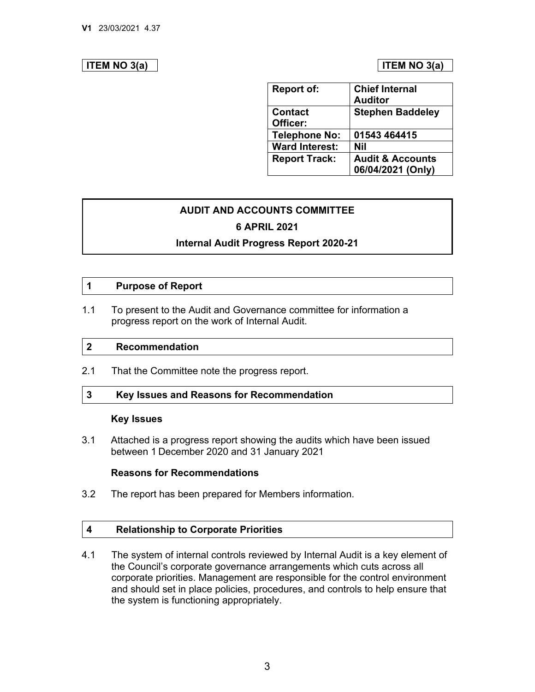#### **ITEM NO 3(a) ITEM NO 3(a)**

| <b>Report of:</b>     | <b>Chief Internal</b>       |  |  |  |
|-----------------------|-----------------------------|--|--|--|
|                       | <b>Auditor</b>              |  |  |  |
| <b>Contact</b>        | <b>Stephen Baddeley</b>     |  |  |  |
| Officer:              |                             |  |  |  |
| <b>Telephone No:</b>  | 01543 464415                |  |  |  |
| <b>Ward Interest:</b> | <b>Nil</b>                  |  |  |  |
| <b>Report Track:</b>  | <b>Audit &amp; Accounts</b> |  |  |  |
|                       | 06/04/2021 (Only)           |  |  |  |

#### **AUDIT AND ACCOUNTS COMMITTEE 6 APRIL 2021**

#### **Internal Audit Progress Report 2020-21**

#### **1 Purpose of Report**

 $1.1$ To present to the Audit and Governance committee for information a progress report on the work of Internal Audit.

#### **2 Recommendation**

2.1 That the Committee note the progress report.

#### **3 Key Issues and Reasons for Recommendation**

#### **Key Issues**

 3.1 Attached is a progress report showing the audits which have been issued between 1 December 2020 and 31 January 2021

#### **Reasons for Recommendations**

 $3.2$ The report has been prepared for Members information.

#### **Relationship to Corporate Priorities 4**

 corporate priorities. Management are responsible for the control environment and should set in place policies, procedures, and controls to help ensure that 4.1 The system of internal controls reviewed by Internal Audit is a key element of the Council's corporate governance arrangements which cuts across all the system is functioning appropriately.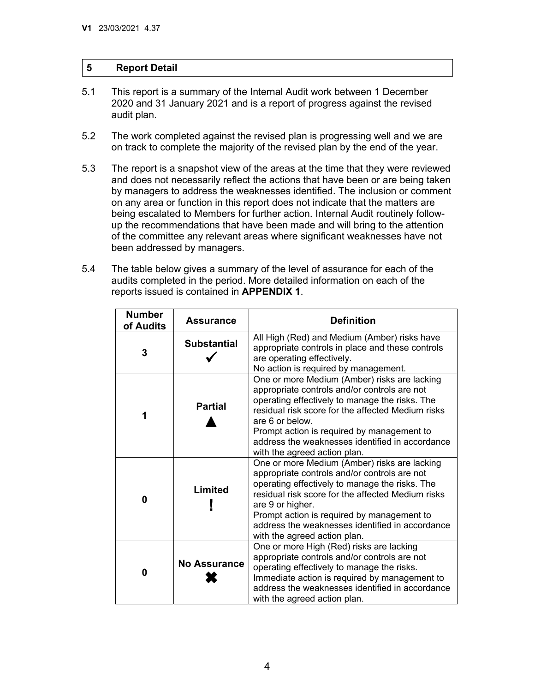#### **Report Detail 5**

- 2020 and 31 January 2021 and is a report of progress against the revised 5.1 This report is a summary of the Internal Audit work between 1 December audit plan.
- 5.2 The work completed against the revised plan is progressing well and we are on track to complete the majority of the revised plan by the end of the year.
- 5.3 The report is a snapshot view of the areas at the time that they were reviewed and does not necessarily reflect the actions that have been or are being taken on any area or function in this report does not indicate that the matters are up the recommendations that have been made and will bring to the attention by managers to address the weaknesses identified. The inclusion or comment being escalated to Members for further action. Internal Audit routinely followof the committee any relevant areas where significant weaknesses have not been addressed by managers.
- audits completed in the period. More detailed information on each of the 5.4 The table below gives a summary of the level of assurance for each of the reports issued is contained in **APPENDIX 1**.

| <b>Number</b><br>of Audits | <b>Assurance</b>    | <b>Definition</b>                                                                                                                                                                                                                                                                                                                                        |
|----------------------------|---------------------|----------------------------------------------------------------------------------------------------------------------------------------------------------------------------------------------------------------------------------------------------------------------------------------------------------------------------------------------------------|
| 3                          | <b>Substantial</b>  | All High (Red) and Medium (Amber) risks have<br>appropriate controls in place and these controls<br>are operating effectively.<br>No action is required by management.                                                                                                                                                                                   |
| 1                          | <b>Partial</b>      | One or more Medium (Amber) risks are lacking<br>appropriate controls and/or controls are not<br>operating effectively to manage the risks. The<br>residual risk score for the affected Medium risks<br>are 6 or below.<br>Prompt action is required by management to<br>address the weaknesses identified in accordance<br>with the agreed action plan.  |
| 0                          | <b>Limited</b>      | One or more Medium (Amber) risks are lacking<br>appropriate controls and/or controls are not<br>operating effectively to manage the risks. The<br>residual risk score for the affected Medium risks<br>are 9 or higher.<br>Prompt action is required by management to<br>address the weaknesses identified in accordance<br>with the agreed action plan. |
| 0                          | <b>No Assurance</b> | One or more High (Red) risks are lacking<br>appropriate controls and/or controls are not<br>operating effectively to manage the risks.<br>Immediate action is required by management to<br>address the weaknesses identified in accordance<br>with the agreed action plan.                                                                               |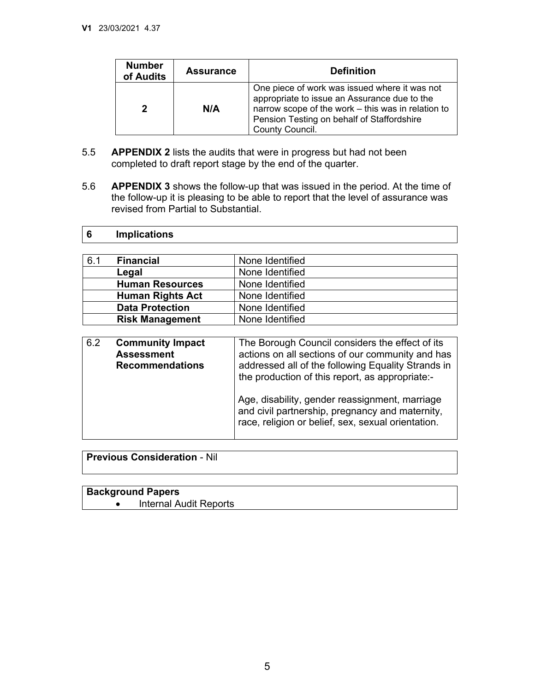**6** 

| <b>Number</b><br>of Audits | <b>Assurance</b> | <b>Definition</b>                                                                                                                                                                                                    |
|----------------------------|------------------|----------------------------------------------------------------------------------------------------------------------------------------------------------------------------------------------------------------------|
| 2                          | N/A              | One piece of work was issued where it was not<br>appropriate to issue an Assurance due to the<br>narrow scope of the work - this was in relation to<br>Pension Testing on behalf of Staffordshire<br>County Council. |

- 5.5 **APPENDIX 2** lists the audits that were in progress but had not been completed to draft report stage by the end of the quarter.
- 5.6 **APPENDIX 3** shows the follow-up that was issued in the period. At the time of the follow-up it is pleasing to be able to report that the level of assurance was revised from Partial to Substantial.

| 6.1 | <b>Financial</b>                                                       | None Identified                                                                                                                                                                                                                                                                                                                                                         |
|-----|------------------------------------------------------------------------|-------------------------------------------------------------------------------------------------------------------------------------------------------------------------------------------------------------------------------------------------------------------------------------------------------------------------------------------------------------------------|
|     | Legal                                                                  | None Identified                                                                                                                                                                                                                                                                                                                                                         |
|     | <b>Human Resources</b>                                                 | None Identified                                                                                                                                                                                                                                                                                                                                                         |
|     | <b>Human Rights Act</b>                                                | None Identified                                                                                                                                                                                                                                                                                                                                                         |
|     | <b>Data Protection</b>                                                 | None Identified                                                                                                                                                                                                                                                                                                                                                         |
|     | <b>Risk Management</b>                                                 | None Identified                                                                                                                                                                                                                                                                                                                                                         |
|     |                                                                        |                                                                                                                                                                                                                                                                                                                                                                         |
| 6.2 | <b>Community Impact</b><br><b>Assessment</b><br><b>Recommendations</b> | The Borough Council considers the effect of its<br>actions on all sections of our community and has<br>addressed all of the following Equality Strands in<br>the production of this report, as appropriate:-<br>Age, disability, gender reassignment, marriage<br>and civil partnership, pregnancy and maternity,<br>race, religion or belief, sex, sexual orientation. |
|     |                                                                        |                                                                                                                                                                                                                                                                                                                                                                         |

**Previous Consideration** - Nil

**Implications** 

#### **Background Papers**  • Internal Audit Reports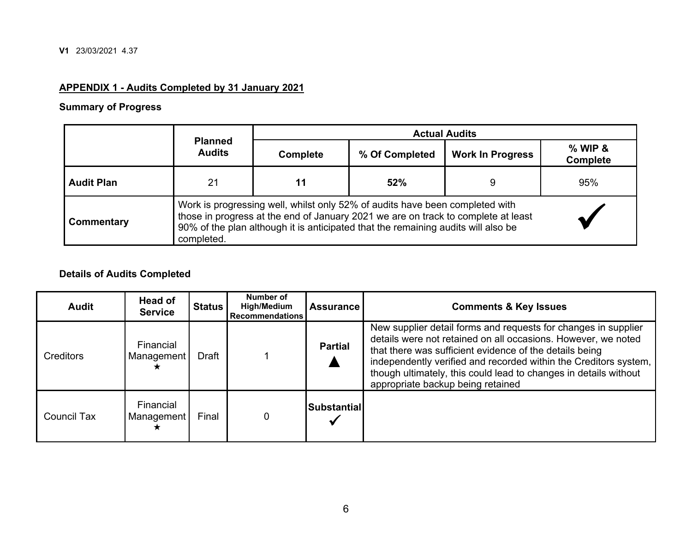#### **APPENDIX 1 - Audits Completed by 31 January 2021**

## **Summary of Progress**

|                   |                                 | <b>Actual Audits</b>                                                                                                                                                                                                                                   |                |                         |                              |  |  |  |  |
|-------------------|---------------------------------|--------------------------------------------------------------------------------------------------------------------------------------------------------------------------------------------------------------------------------------------------------|----------------|-------------------------|------------------------------|--|--|--|--|
|                   | <b>Planned</b><br><b>Audits</b> | <b>Complete</b>                                                                                                                                                                                                                                        | % Of Completed | <b>Work In Progress</b> | $%$ WIP &<br><b>Complete</b> |  |  |  |  |
| <b>Audit Plan</b> | 21                              | 52%                                                                                                                                                                                                                                                    |                | 9                       | 95%                          |  |  |  |  |
| Commentary        | completed.                      | Work is progressing well, whilst only 52% of audits have been completed with<br>those in progress at the end of January 2021 we are on track to complete at least<br>90% of the plan although it is anticipated that the remaining audits will also be |                |                         |                              |  |  |  |  |

#### **Details of Audits Completed**

| <b>Audit</b>       | Head of<br><b>Service</b> | <b>Status</b> | Number of<br><b>High/Medium</b><br><b>Recommendations</b> | <b>Assurance</b>   | <b>Comments &amp; Key Issues</b>                                                                                                                                                                                                                                                                                                                                        |
|--------------------|---------------------------|---------------|-----------------------------------------------------------|--------------------|-------------------------------------------------------------------------------------------------------------------------------------------------------------------------------------------------------------------------------------------------------------------------------------------------------------------------------------------------------------------------|
| Creditors          | Financial<br>Management   | Draft         |                                                           | <b>Partial</b>     | New supplier detail forms and requests for changes in supplier<br>details were not retained on all occasions. However, we noted<br>that there was sufficient evidence of the details being<br>independently verified and recorded within the Creditors system,<br>though ultimately, this could lead to changes in details without<br>appropriate backup being retained |
| <b>Council Tax</b> | Financial<br>Management   | Final         |                                                           | <b>Substantial</b> |                                                                                                                                                                                                                                                                                                                                                                         |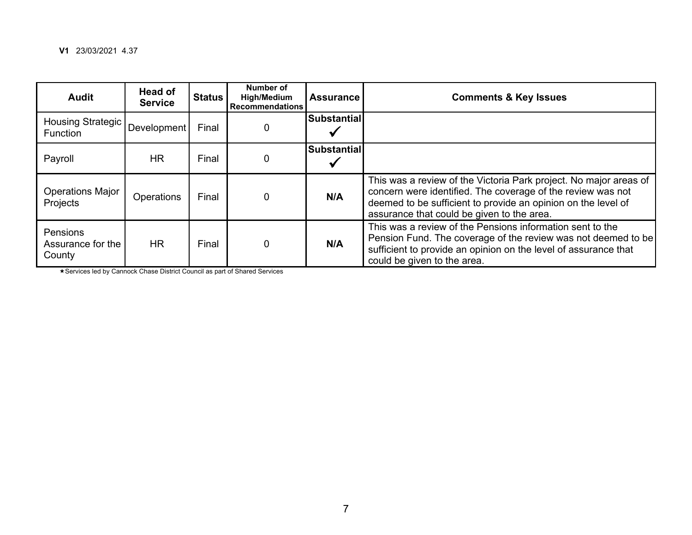| <b>Audit</b>                                  | <b>Head of</b><br><b>Service</b> | <b>Status</b> | Number of<br><b>High/Medium</b><br><b>Recommendations</b> | <b>Assurance</b>   | <b>Comments &amp; Key Issues</b>                                                                                                                                                                                                                |
|-----------------------------------------------|----------------------------------|---------------|-----------------------------------------------------------|--------------------|-------------------------------------------------------------------------------------------------------------------------------------------------------------------------------------------------------------------------------------------------|
| Housing Strategic   Development  <br>Function |                                  | Final         |                                                           | <b>Substantial</b> |                                                                                                                                                                                                                                                 |
| Payroll                                       | <b>HR</b>                        | Final         |                                                           | <b>Substantial</b> |                                                                                                                                                                                                                                                 |
| <b>Operations Major</b><br>Projects           | <b>Operations</b>                | Final         |                                                           | N/A                | This was a review of the Victoria Park project. No major areas of<br>concern were identified. The coverage of the review was not<br>deemed to be sufficient to provide an opinion on the level of<br>assurance that could be given to the area. |
| Pensions<br>Assurance for the<br>County       | <b>HR</b>                        | Final         | $\overline{0}$                                            | N/A                | This was a review of the Pensions information sent to the<br>Pension Fund. The coverage of the review was not deemed to be<br>sufficient to provide an opinion on the level of assurance that<br>could be given to the area.                    |

Services led by Cannock Chase District Council as part of Shared Services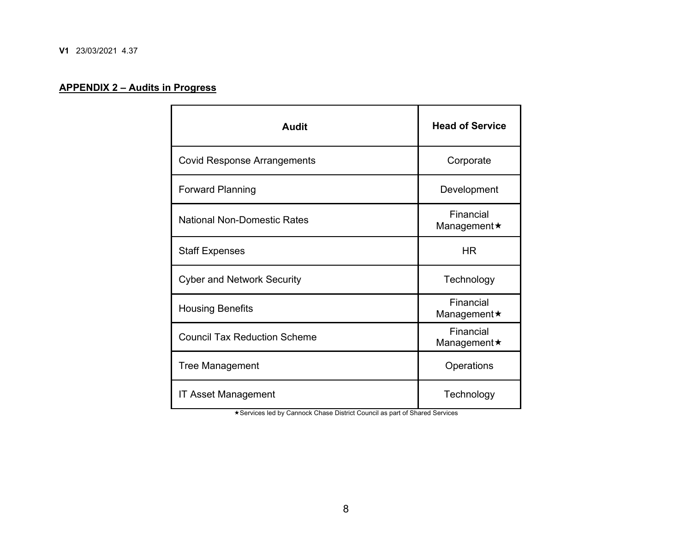#### **APPENDIX 2 – Audits in Progress**

| <b>Audit</b>                        | <b>Head of Service</b>          |
|-------------------------------------|---------------------------------|
| <b>Covid Response Arrangements</b>  | Corporate                       |
| <b>Forward Planning</b>             | Development                     |
| <b>National Non-Domestic Rates</b>  | Financial<br>Management★        |
| <b>Staff Expenses</b>               | HR.                             |
| <b>Cyber and Network Security</b>   | Technology                      |
| <b>Housing Benefits</b>             | Financial<br>Management★        |
| <b>Council Tax Reduction Scheme</b> | Financial<br>Management $\star$ |
| <b>Tree Management</b>              | Operations                      |
| IT Asset Management                 | Technology                      |

Services led by Cannock Chase District Council as part of Shared Services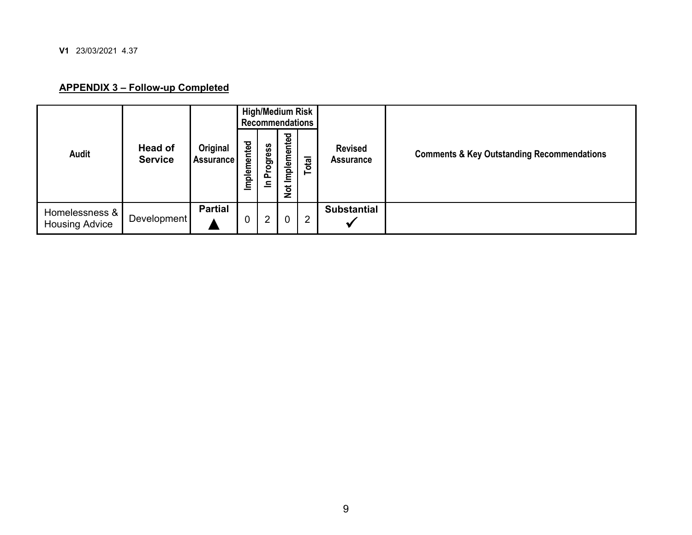**V1** 23/03/2021 4.37

#### **APPENDIX 3 – Follow-up Completed**

|                                         |                                  |                              |             |                |                           | High/Medium Risk<br>Recommendations |                                    |                                                       |
|-----------------------------------------|----------------------------------|------------------------------|-------------|----------------|---------------------------|-------------------------------------|------------------------------------|-------------------------------------------------------|
| Audit                                   | <b>Head of</b><br><b>Service</b> | Original<br><b>Assurance</b> | Implemented | Progress<br>드  | Implemented<br><b>Not</b> | Total                               | <b>Revised</b><br><b>Assurance</b> | <b>Comments &amp; Key Outstanding Recommendations</b> |
| Homelessness &<br><b>Housing Advice</b> | Development                      | <b>Partial</b>               | 0           | $\overline{2}$ | $\mathbf 0$               | $\overline{2}$                      | <b>Substantial</b>                 |                                                       |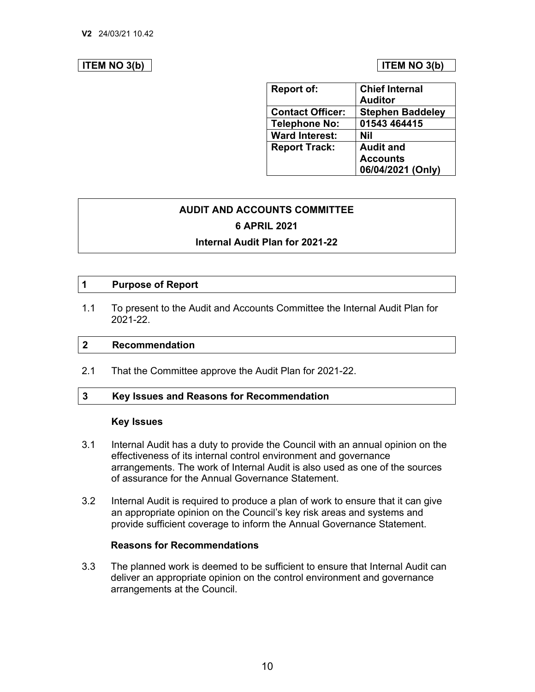#### **ITEM NO 3(b)**  $\vert$  **ITEM NO 3(b)**

| <b>Report of:</b>       | <b>Chief Internal</b>   |
|-------------------------|-------------------------|
|                         | <b>Auditor</b>          |
| <b>Contact Officer:</b> | <b>Stephen Baddeley</b> |
| <b>Telephone No:</b>    | 01543 464415            |
| <b>Ward Interest:</b>   | <b>Nil</b>              |
| <b>Report Track:</b>    | <b>Audit and</b>        |
|                         | <b>Accounts</b>         |
|                         | 06/04/2021 (Only)       |

# **AUDIT AND ACCOUNTS COMMITTEE 6 APRIL 2021**

#### **Internal Audit Plan for 2021-22**

#### **1 Purpose of Report**

1.1 To present to the Audit and Accounts Committee the Internal Audit Plan for 2021-22.

#### **2 Recommendation**

2.1 That the Committee approve the Audit Plan for 2021-22.

#### **3 Key Issues and Reasons for Recommendation**

#### **Key Issues**

- 3.1 Internal Audit has a duty to provide the Council with an annual opinion on the arrangements. The work of Internal Audit is also used as one of the sources of assurance for the Annual Governance Statement. effectiveness of its internal control environment and governance
- provide sufficient coverage to inform the Annual Governance Statement. 3.2 Internal Audit is required to produce a plan of work to ensure that it can give an appropriate opinion on the Council's key risk areas and systems and

#### **Reasons for Recommendations**

3.3 The planned work is deemed to be sufficient to ensure that Internal Audit can deliver an appropriate opinion on the control environment and governance arrangements at the Council.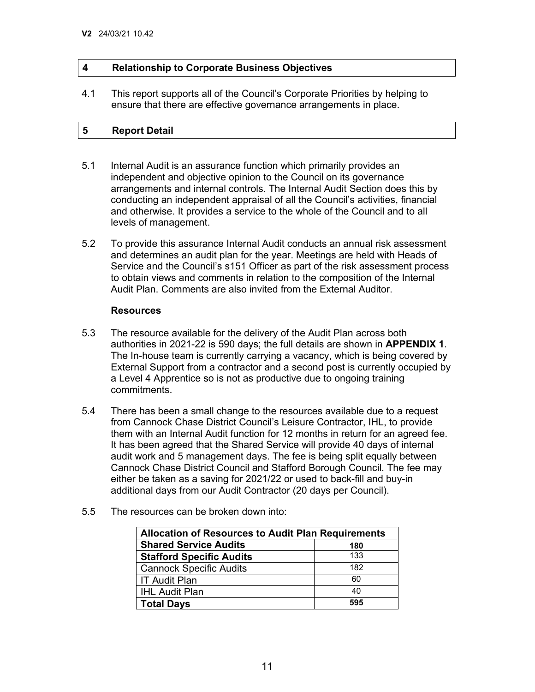#### **4 Relationship to Corporate Business Objectives**

 4.1 This report supports all of the Council's Corporate Priorities by helping to ensure that there are effective governance arrangements in place.

#### **Report Detail 5**

- 5.1 Internal Audit is an assurance function which primarily provides an independent and objective opinion to the Council on its governance arrangements and internal controls. The Internal Audit Section does this by conducting an independent appraisal of all the Council's activities, financial and otherwise. It provides a service to the whole of the Council and to all levels of management.
- and determines an audit plan for the year. Meetings are held with Heads of 5.2 To provide this assurance Internal Audit conducts an annual risk assessment Service and the Council's s151 Officer as part of the risk assessment process to obtain views and comments in relation to the composition of the Internal Audit Plan. Comments are also invited from the External Auditor.

#### **Resources**

- 5.3 The resource available for the delivery of the Audit Plan across both authorities in 2021-22 is 590 days; the full details are shown in **APPENDIX 1**. a Level 4 Apprentice so is not as productive due to ongoing training The In-house team is currently carrying a vacancy, which is being covered by External Support from a contractor and a second post is currently occupied by commitments.
- them with an Internal Audit function for 12 months in return for an agreed fee. either be taken as a saving for 2021/22 or used to back-fill and buy-in additional days from our Audit Contractor (20 days per Council). 5.4 There has been a small change to the resources available due to a request from Cannock Chase District Council's Leisure Contractor, IHL, to provide It has been agreed that the Shared Service will provide 40 days of internal audit work and 5 management days. The fee is being split equally between Cannock Chase District Council and Stafford Borough Council. The fee may
- 5.5 The resources can be broken down into:

| <b>Allocation of Resources to Audit Plan Requirements</b> |     |  |  |  |  |  |  |
|-----------------------------------------------------------|-----|--|--|--|--|--|--|
| <b>Shared Service Audits</b><br>180                       |     |  |  |  |  |  |  |
| <b>Stafford Specific Audits</b>                           | 133 |  |  |  |  |  |  |
| <b>Cannock Specific Audits</b>                            | 182 |  |  |  |  |  |  |
| <b>IT Audit Plan</b>                                      | 60  |  |  |  |  |  |  |
| <b>IHL Audit Plan</b>                                     | 40  |  |  |  |  |  |  |
| <b>Total Days</b>                                         | 595 |  |  |  |  |  |  |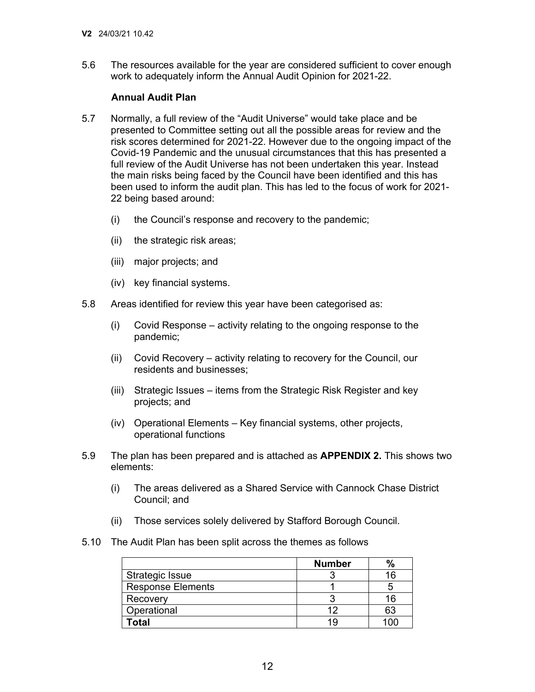$56$  work to adequately inform the Annual Audit Opinion for 2021-22. The resources available for the year are considered sufficient to cover enough

#### **Annual Audit Plan**

- 5.7 Normally, a full review of the "Audit Universe" would take place and be risk scores determined for 2021-22. However due to the ongoing impact of the full review of the Audit Universe has not been undertaken this year. Instead presented to Committee setting out all the possible areas for review and the Covid-19 Pandemic and the unusual circumstances that this has presented a the main risks being faced by the Council have been identified and this has been used to inform the audit plan. This has led to the focus of work for 2021- 22 being based around:
	- (i) the Council's response and recovery to the pandemic;
	- (ii) the strategic risk areas;
	- (iii) major projects; and
	- (iv) key financial systems.
- 5.8 Areas identified for review this year have been categorised as:
	- (i) Covid Response activity relating to the ongoing response to the pandemic;
	- (ii) Covid Recovery activity relating to recovery for the Council, our residents and businesses;
	- (iii) Strategic Issues items from the Strategic Risk Register and key projects; and
	- (iv) Operational Elements Key financial systems, other projects, operational functions
- 5.9 The plan has been prepared and is attached as **APPENDIX 2.** This shows two elements:
	- $(i)$ Council; and The areas delivered as a Shared Service with Cannock Chase District
	- Council; and (ii) Those services solely delivered by Stafford Borough Council.
- 5.10 The Audit Plan has been split across the themes as follows

|                          | <b>Number</b> | $\%$ |
|--------------------------|---------------|------|
| <b>Strategic Issue</b>   |               |      |
| <b>Response Elements</b> |               |      |
| Recovery                 |               | 16   |
| Operational              | ィク            | 63   |
| ˈotal                    |               |      |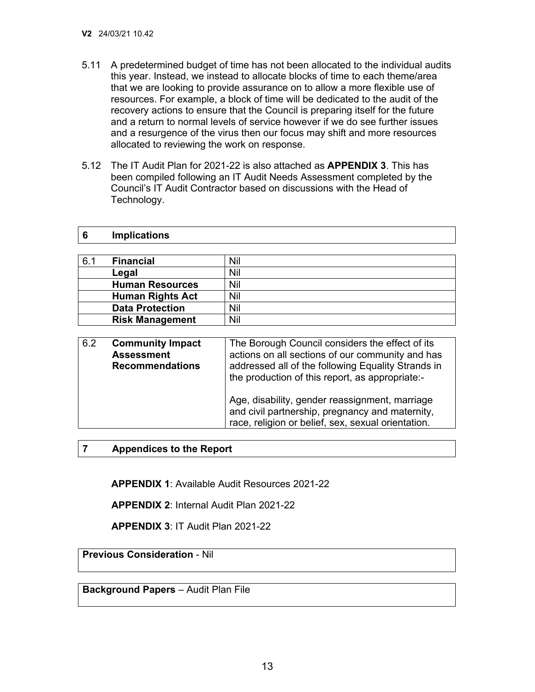**6** 

**Implications** 

- 5.11 A predetermined budget of time has not been allocated to the individual audits resources. For example, a block of time will be dedicated to the audit of the recovery actions to ensure that the Council is preparing itself for the future and a return to normal levels of service however if we do see further issues allocated to reviewing the work on response. this year. Instead, we instead to allocate blocks of time to each theme/area that we are looking to provide assurance on to allow a more flexible use of and a resurgence of the virus then our focus may shift and more resources
- 5.12 The IT Audit Plan for 2021-22 is also attached as **APPENDIX 3**. This has been compiled following an IT Audit Needs Assessment completed by the Council's IT Audit Contractor based on discussions with the Head of Technology.

| 6.1 | <b>Financial</b>        | Nil |
|-----|-------------------------|-----|
|     | Legal                   | Nil |
|     | <b>Human Resources</b>  | Nil |
|     | <b>Human Rights Act</b> | Nil |
|     | <b>Data Protection</b>  | Nil |
|     | <b>Risk Management</b>  | Nil |

| 6.2                     | The Borough Council considers the effect of its    |                                                                                                                                                         |
|-------------------------|----------------------------------------------------|---------------------------------------------------------------------------------------------------------------------------------------------------------|
| <b>Community Impact</b> | actions on all sections of our community and has   |                                                                                                                                                         |
| <b>Assessment</b>       | addressed all of the following Equality Strands in |                                                                                                                                                         |
| <b>Recommendations</b>  | the production of this report, as appropriate:-    |                                                                                                                                                         |
|                         |                                                    | Age, disability, gender reassignment, marriage<br>and civil partnership, pregnancy and maternity,<br>race, religion or belief, sex, sexual orientation. |

**7 Appendices to the Report** 

**APPENDIX 1**: Available Audit Resources 2021-22

**APPENDIX 2**: Internal Audit Plan 2021-22

**APPENDIX 3**: IT Audit Plan 2021-22

**Previous Consideration** - Nil

**Background Papers** – Audit Plan File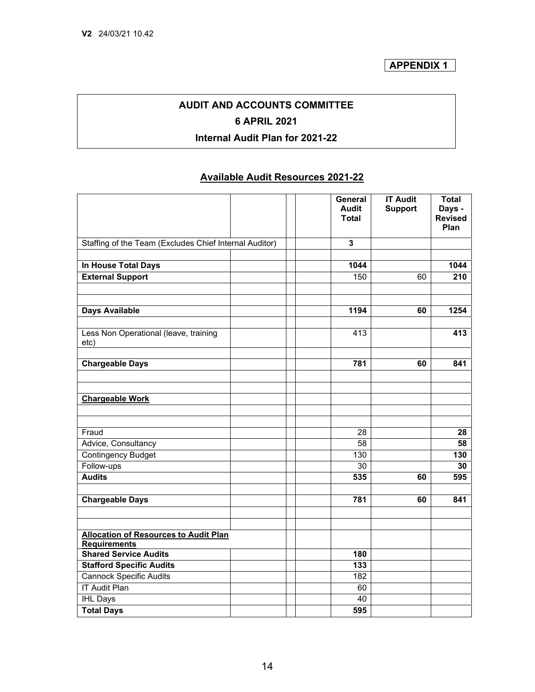## **AUDIT AND ACCOUNTS COMMITTEE 6 APRIL 2021 Internal Audit Plan for 2021-22**

### **Available Audit Resources 2021-22**

|                                                        | General<br>Audit<br><b>Total</b> | <b>IT Audit</b><br><b>Support</b> | <b>Total</b><br>Days -<br><b>Revised</b><br>Plan |
|--------------------------------------------------------|----------------------------------|-----------------------------------|--------------------------------------------------|
| Staffing of the Team (Excludes Chief Internal Auditor) | 3                                |                                   |                                                  |
| In House Total Days                                    | 1044                             |                                   | 1044                                             |
| <b>External Support</b>                                | 150                              | 60                                | 210                                              |
|                                                        |                                  |                                   |                                                  |
| <b>Days Available</b>                                  | 1194                             | 60                                | 1254                                             |
|                                                        |                                  |                                   |                                                  |
| Less Non Operational (leave, training<br>etc)          | 413                              |                                   | 413                                              |
| <b>Chargeable Days</b>                                 | 781                              | 60                                | 841                                              |
|                                                        |                                  |                                   |                                                  |
| <b>Chargeable Work</b>                                 |                                  |                                   |                                                  |
|                                                        |                                  |                                   |                                                  |
| Fraud                                                  | 28                               |                                   | 28                                               |
| Advice, Consultancy                                    | 58                               |                                   | 58                                               |
| <b>Contingency Budget</b>                              | 130                              |                                   | 130                                              |
| Follow-ups                                             | $\overline{30}$                  |                                   | 30                                               |
| <b>Audits</b>                                          | 535                              | 60                                | 595                                              |
| <b>Chargeable Days</b>                                 | 781                              | 60                                | 841                                              |
| <b>Allocation of Resources to Audit Plan</b>           |                                  |                                   |                                                  |
| <b>Requirements</b>                                    |                                  |                                   |                                                  |
| <b>Shared Service Audits</b>                           | 180                              |                                   |                                                  |
| <b>Stafford Specific Audits</b>                        | 133                              |                                   |                                                  |
| <b>Cannock Specific Audits</b>                         | 182                              |                                   |                                                  |
| <b>IT Audit Plan</b>                                   | 60                               |                                   |                                                  |
| <b>IHL Days</b>                                        | 40                               |                                   |                                                  |
| <b>Total Days</b>                                      | 595                              |                                   |                                                  |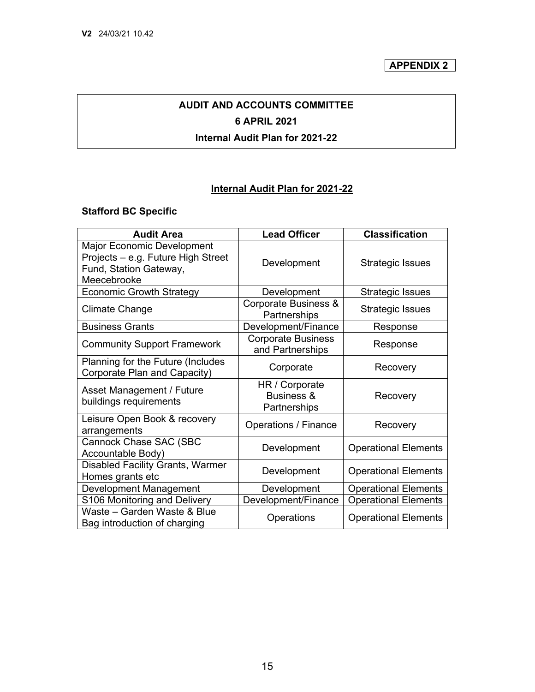**APPENDIX 2** 

## **AUDIT AND ACCOUNTS COMMITTEE 6 APRIL 2021**

#### **Internal Audit Plan for 2021-22**

#### **Internal Audit Plan for 2021-22**

#### **Stafford BC Specific**

| <b>Audit Area</b>                                                                                                | <b>Lead Officer</b>                                     | <b>Classification</b>       |
|------------------------------------------------------------------------------------------------------------------|---------------------------------------------------------|-----------------------------|
| <b>Major Economic Development</b><br>Projects - e.g. Future High Street<br>Fund, Station Gateway,<br>Meecebrooke | Development                                             | <b>Strategic Issues</b>     |
| <b>Economic Growth Strategy</b>                                                                                  | Development                                             | <b>Strategic Issues</b>     |
| <b>Climate Change</b>                                                                                            | Corporate Business &<br>Partnerships                    | <b>Strategic Issues</b>     |
| <b>Business Grants</b>                                                                                           | Development/Finance                                     | Response                    |
| <b>Community Support Framework</b>                                                                               | <b>Corporate Business</b><br>and Partnerships           | Response                    |
| Planning for the Future (Includes<br>Corporate Plan and Capacity)                                                | Corporate                                               | Recovery                    |
| Asset Management / Future<br>buildings requirements                                                              | HR / Corporate<br><b>Business &amp;</b><br>Partnerships | Recovery                    |
| Leisure Open Book & recovery<br>arrangements                                                                     | <b>Operations / Finance</b>                             | Recovery                    |
| Cannock Chase SAC (SBC<br>Accountable Body)                                                                      | Development                                             | <b>Operational Elements</b> |
| <b>Disabled Facility Grants, Warmer</b><br>Homes grants etc                                                      | Development                                             | <b>Operational Elements</b> |
| Development Management                                                                                           | Development                                             | <b>Operational Elements</b> |
| S106 Monitoring and Delivery                                                                                     | Development/Finance                                     | <b>Operational Elements</b> |
| Waste - Garden Waste & Blue<br>Bag introduction of charging                                                      | Operations                                              | <b>Operational Elements</b> |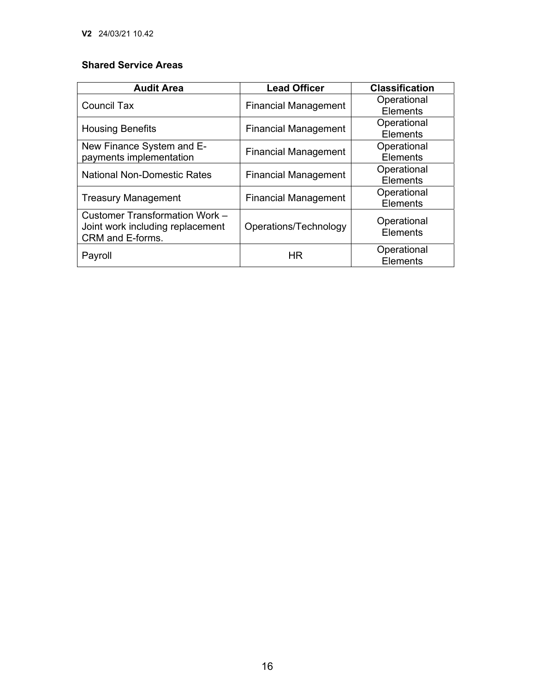### **Shared Service Areas**

| <b>Audit Area</b>                                                                             | <b>Lead Officer</b>                                    | <b>Classification</b>          |
|-----------------------------------------------------------------------------------------------|--------------------------------------------------------|--------------------------------|
| <b>Council Tax</b>                                                                            | <b>Financial Management</b>                            | Operational                    |
|                                                                                               |                                                        | <b>Elements</b>                |
|                                                                                               |                                                        | Operational                    |
|                                                                                               | <b>Financial Management</b><br><b>Housing Benefits</b> |                                |
| New Finance System and E-                                                                     |                                                        | Operational                    |
| payments implementation                                                                       | <b>Financial Management</b>                            | <b>Elements</b>                |
| <b>National Non-Domestic Rates</b><br><b>Financial Management</b>                             | Operational                                            |                                |
|                                                                                               |                                                        | Elements                       |
|                                                                                               |                                                        | Operational                    |
| <b>Treasury Management</b>                                                                    | <b>Financial Management</b>                            |                                |
| <b>Customer Transformation Work -</b><br>Joint work including replacement<br>CRM and E-forms. | Operations/Technology                                  | Operational<br><b>Elements</b> |
| Payroll                                                                                       | HR                                                     | Operational<br>Elements        |